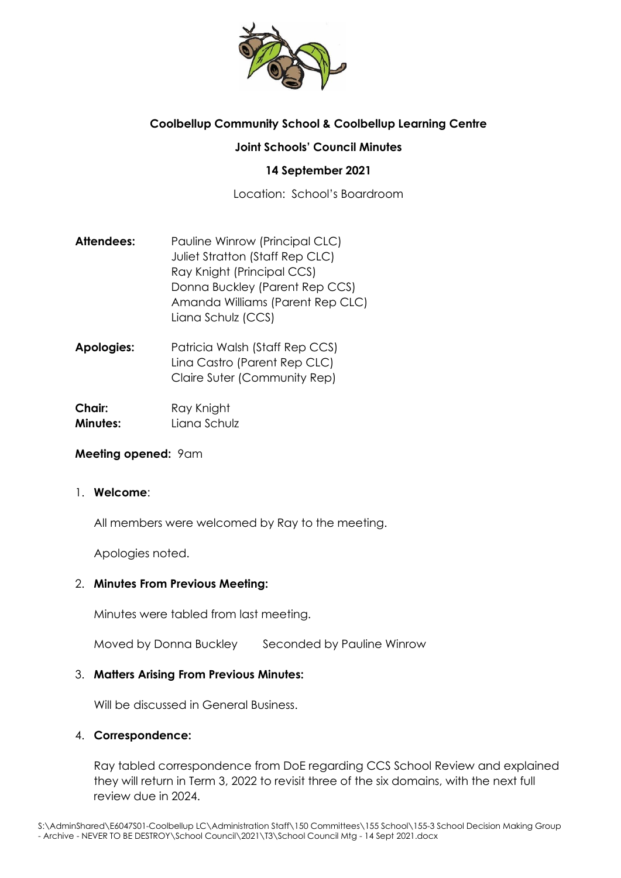

# **Coolbellup Community School & Coolbellup Learning Centre**

### **Joint Schools' Council Minutes**

### **14 September 2021**

Location: School's Boardroom

- **Attendees:** Pauline Winrow (Principal CLC) Juliet Stratton (Staff Rep CLC) Ray Knight (Principal CCS) Donna Buckley (Parent Rep CCS) Amanda Williams (Parent Rep CLC) Liana Schulz (CCS)
- **Apologies:** Patricia Walsh (Staff Rep CCS) Lina Castro (Parent Rep CLC) Claire Suter (Community Rep)

**Chair:** Ray Knight **Minutes:** Liana Schulz

### **Meeting opened:** 9am

#### 1. **Welcome**:

All members were welcomed by Ray to the meeting.

Apologies noted.

### 2. **Minutes From Previous Meeting:**

Minutes were tabled from last meeting.

Moved by Donna Buckley Seconded by Pauline Winrow

### 3. **Matters Arising From Previous Minutes:**

Will be discussed in General Business.

### 4. **Correspondence:**

Ray tabled correspondence from DoE regarding CCS School Review and explained they will return in Term 3, 2022 to revisit three of the six domains, with the next full review due in 2024.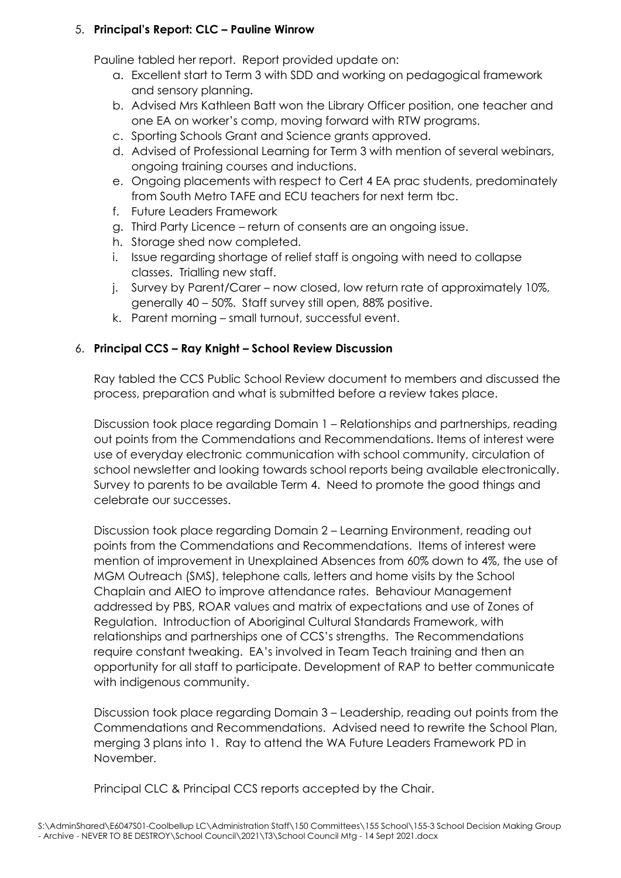### 5. **Principal's Report: CLC – Pauline Winrow**

Pauline tabled her report. Report provided update on:

- a. Excellent start to Term 3 with SDD and working on pedagogical framework and sensory planning.
- b. Advised Mrs Kathleen Batt won the Library Officer position, one teacher and one EA on worker's comp, moving forward with RTW programs.
- c. Sporting Schools Grant and Science grants approved.
- d. Advised of Professional Learning for Term 3 with mention of several webinars, ongoing training courses and inductions.
- e. Ongoing placements with respect to Cert 4 EA prac students, predominately from South Metro TAFE and ECU teachers for next term tbc.
- f. Future Leaders Framework
- g. Third Party Licence return of consents are an ongoing issue.
- h. Storage shed now completed.
- i. Issue regarding shortage of relief staff is ongoing with need to collapse classes. Trialling new staff.
- j. Survey by Parent/Carer now closed, low return rate of approximately 10%, generally 40 – 50%. Staff survey still open, 88% positive.
- k. Parent morning small turnout, successful event.

## 6. **Principal CCS – Ray Knight – School Review Discussion**

Ray tabled the CCS Public School Review document to members and discussed the process, preparation and what is submitted before a review takes place.

Discussion took place regarding Domain 1 – Relationships and partnerships, reading out points from the Commendations and Recommendations. Items of interest were use of everyday electronic communication with school community, circulation of school newsletter and looking towards school reports being available electronically. Survey to parents to be available Term 4. Need to promote the good things and celebrate our successes.

Discussion took place regarding Domain 2 – Learning Environment, reading out points from the Commendations and Recommendations. Items of interest were mention of improvement in Unexplained Absences from 60% down to 4%, the use of MGM Outreach (SMS), telephone calls, letters and home visits by the School Chaplain and AIEO to improve attendance rates. Behaviour Management addressed by PBS, ROAR values and matrix of expectations and use of Zones of Regulation. Introduction of Aboriginal Cultural Standards Framework, with relationships and partnerships one of CCS's strengths. The Recommendations require constant tweaking. EA's involved in Team Teach training and then an opportunity for all staff to participate. Development of RAP to better communicate with indigenous community.

Discussion took place regarding Domain 3 – Leadership, reading out points from the Commendations and Recommendations. Advised need to rewrite the School Plan, merging 3 plans into 1. Ray to attend the WA Future Leaders Framework PD in November.

Principal CLC & Principal CCS reports accepted by the Chair.